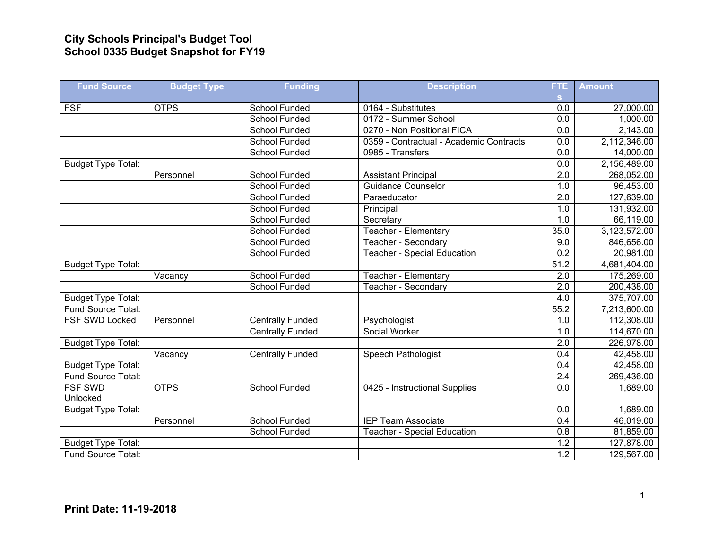## **City Schools Principal's Budget Tool School 0335 Budget Snapshot for FY19**

| <b>Fund Source</b>        | <b>Budget Type</b> | <b>Funding</b>          | <b>Description</b>                      | FTE              | <b>Amount</b> |
|---------------------------|--------------------|-------------------------|-----------------------------------------|------------------|---------------|
|                           |                    |                         |                                         | s.               |               |
| <b>FSF</b>                | <b>OTPS</b>        | School Funded           | 0164 - Substitutes                      | 0.0              | 27,000.00     |
|                           |                    | <b>School Funded</b>    | 0172 - Summer School                    | 0.0              | 1,000.00      |
|                           |                    | <b>School Funded</b>    | 0270 - Non Positional FICA              | 0.0              | 2,143.00      |
|                           |                    | <b>School Funded</b>    | 0359 - Contractual - Academic Contracts | $\overline{0.0}$ | 2,112,346.00  |
|                           |                    | <b>School Funded</b>    | 0985 - Transfers                        | 0.0              | 14,000.00     |
| <b>Budget Type Total:</b> |                    |                         |                                         | 0.0              | 2,156,489.00  |
|                           | Personnel          | <b>School Funded</b>    | <b>Assistant Principal</b>              | $\overline{2.0}$ | 268,052.00    |
|                           |                    | School Funded           | <b>Guidance Counselor</b>               | 1.0              | 96,453.00     |
|                           |                    | <b>School Funded</b>    | Paraeducator                            | $\overline{2.0}$ | 127,639.00    |
|                           |                    | School Funded           | Principal                               | 1.0              | 131,932.00    |
|                           |                    | <b>School Funded</b>    | Secretary                               | 1.0              | 66,119.00     |
|                           |                    | School Funded           | Teacher - Elementary                    | 35.0             | 3,123,572.00  |
|                           |                    | School Funded           | Teacher - Secondary                     | 9.0              | 846,656.00    |
|                           |                    | <b>School Funded</b>    | <b>Teacher - Special Education</b>      | 0.2              | 20,981.00     |
| <b>Budget Type Total:</b> |                    |                         |                                         | 51.2             | 4,681,404.00  |
|                           | Vacancy            | School Funded           | Teacher - Elementary                    | 2.0              | 175,269.00    |
|                           |                    | <b>School Funded</b>    | <b>Teacher - Secondary</b>              | $\overline{2.0}$ | 200,438.00    |
| <b>Budget Type Total:</b> |                    |                         |                                         | 4.0              | 375,707.00    |
| Fund Source Total:        |                    |                         |                                         | 55.2             | 7,213,600.00  |
| <b>FSF SWD Locked</b>     | Personnel          | <b>Centrally Funded</b> | Psychologist                            | 1.0              | 112,308.00    |
|                           |                    | <b>Centrally Funded</b> | Social Worker                           | 1.0              | 114,670.00    |
| <b>Budget Type Total:</b> |                    |                         |                                         | 2.0              | 226,978.00    |
|                           | Vacancy            | <b>Centrally Funded</b> | Speech Pathologist                      | 0.4              | 42,458.00     |
| <b>Budget Type Total:</b> |                    |                         |                                         | 0.4              | 42,458.00     |
| Fund Source Total:        |                    |                         |                                         | 2.4              | 269,436.00    |
| <b>FSF SWD</b>            | <b>OTPS</b>        | <b>School Funded</b>    | 0425 - Instructional Supplies           | $\overline{0.0}$ | 1,689.00      |
| Unlocked                  |                    |                         |                                         |                  |               |
| <b>Budget Type Total:</b> |                    |                         |                                         | 0.0              | 1,689.00      |
|                           | Personnel          | School Funded           | <b>IEP Team Associate</b>               | 0.4              | 46,019.00     |
|                           |                    | <b>School Funded</b>    | <b>Teacher - Special Education</b>      | 0.8              | 81,859.00     |
| <b>Budget Type Total:</b> |                    |                         |                                         | 1.2              | 127,878.00    |
| Fund Source Total:        |                    |                         |                                         | 1.2              | 129,567.00    |